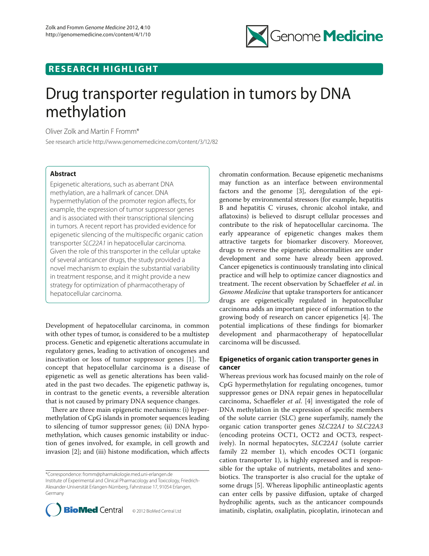

## **RESEARCH HIGHLIGHT**

# Drug transporter regulation in tumors by DNA methylation

Oliver Zolk and Martin F Fromm\*

See research article http://www.genomemedicine.com/content/3/12/82

## **Abstract**

Epigenetic alterations, such as aberrant DNA methylation, are a hallmark of cancer. DNA hypermethylation of the promoter region affects, for example, the expression of tumor suppressor genes and is associated with their transcriptional silencing in tumors. A recent report has provided evidence for epigenetic silencing of the multispecific organic cation transporter *SLC22A1* in hepatocellular carcinoma. Given the role of this transporter in the cellular uptake of several anticancer drugs, the study provided a novel mechanism to explain the substantial variability in treatment response, and it might provide a new strategy for optimization of pharmacotherapy of hepatocellular carcinoma.

Development of hepatocellular carcinoma, in common with other types of tumor, is considered to be a multistep process. Genetic and epigenetic alterations accumulate in regulatory genes, leading to activation of oncogenes and inactivation or loss of tumor suppressor genes  $[1]$ . The concept that hepatocellular carcinoma is a disease of epigenetic as well as genetic alterations has been validated in the past two decades. The epigenetic pathway is, in contrast to the genetic events, a reversible alteration that is not caused by primary DNA sequence changes.

There are three main epigenetic mechanisms: (i) hypermethylation of CpG islands in promoter sequences leading to silencing of tumor suppressor genes; (ii) DNA hypomethylation, which causes genomic instability or induction of genes involved, for example, in cell growth and invasion [2]; and (iii) histone modification, which affects

<sup>\*</sup>Correspondence: fromm@pharmakologie.med.uni-erlangen.de Institute of Experimental and Clinical Pharmacology and Toxicology, Friedrich-Alexander-Universität Erlangen-Nürnberg, Fahrstrasse 17, 91054 Erlangen, Germany



chromatin conformation. Because epigenetic mechanisms may function as an interface between environmental factors and the genome [3], deregulation of the epigenome by environmental stressors (for example, hepatitis B and hepatitis C viruses, chronic alcohol intake, and aflatoxins) is believed to disrupt cellular processes and contribute to the risk of hepatocellular carcinoma. The early appearance of epigenetic changes makes them attractive targets for biomarker discovery. Moreover, drugs to reverse the epigenetic abnormalities are under development and some have already been approved. Cancer epigenetics is continuously translating into clinical practice and will help to optimize cancer diagnostics and treatment. The recent observation by Schaeffeler et al. in *Genome Medicine* that uptake transporters for anticancer drugs are epigenetically regulated in hepatocellular carcinoma adds an important piece of information to the growing body of research on cancer epigenetics [4]. The potential implications of these findings for biomarker development and pharmacotherapy of hepatocellular carcinoma will be discussed.

## **Epigenetics of organic cation transporter genes in cancer**

Whereas previous work has focused mainly on the role of CpG hypermethylation for regulating oncogenes, tumor suppressor genes or DNA repair genes in hepatocellular carcinoma, Schaeffeler *et al*. [4] investigated the role of DNA methylation in the expression of specific members of the solute carrier (SLC) gene superfamily, namely the organic cation transporter genes *SLC22A1* to *SLC22A3* (encoding proteins OCT1, OCT2 and OCT3, respectively). In normal hepatocytes, *SLC22A1* (solute carrier family 22 member 1), which encodes OCT1 (organic cation transporter 1), is highly expressed and is responsible for the uptake of nutrients, metabolites and xenobiotics. The transporter is also crucial for the uptake of some drugs [5]. Whereas lipophilic antineoplastic agents can enter cells by passive diffusion, uptake of charged hydrophilic agents, such as the anticancer compounds imatinib, cisplatin, oxaliplatin, picoplatin, irinotecan and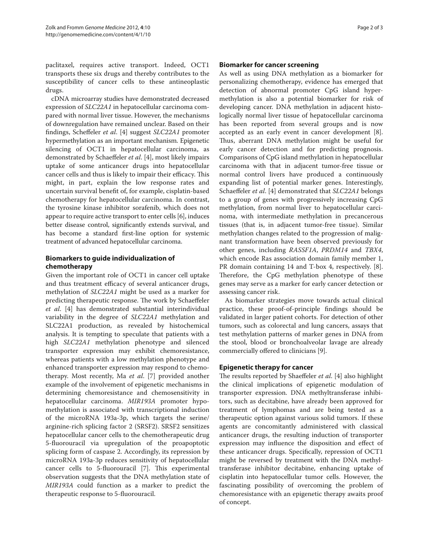paclitaxel, requires active transport. Indeed, OCT1 transports these six drugs and thereby contributes to the susceptibility of cancer cells to these antineoplastic drugs.

cDNA microarray studies have demonstrated decreased expression of *SLC22A1* in hepatocellular carcinoma compared with normal liver tissue. However, the mechanisms of downregulation have remained unclear. Based on their findings, Scheffeler *et al*. [4] suggest *SLC22A1* promoter hypermethylation as an important mechanism. Epigenetic silencing of OCT1 in hepatocellular carcinoma, as demonstrated by Schaeffeler *et al*. [4], most likely impairs uptake of some anticancer drugs into hepatocellular cancer cells and thus is likely to impair their efficacy. This might, in part, explain the low response rates and uncertain survival benefit of, for example, cisplatin-based chemotherapy for hepatocellular carcinoma. In contrast, the tyrosine kinase inhibitor sorafenib, which does not appear to require active transport to enter cells [6], induces better disease control, significantly extends survival, and has become a standard first-line option for systemic treatment of advanced hepatocellular carcinoma.

## **Biomarkers to guide individualization of chemotherapy**

Given the important role of OCT1 in cancer cell uptake and thus treatment efficacy of several anticancer drugs, methylation of *SLC22A1* might be used as a marker for predicting therapeutic response. The work by Schaeffeler *et al*. [4] has demonstrated substantial interindividual variability in the degree of *SLC22A1* methylation and SLC22A1 production, as revealed by histochemical analysis. It is tempting to speculate that patients with a high *SLC22A1* methylation phenotype and silenced transporter expression may exhibit chemoresistance, whereas patients with a low methylation phenotype and enhanced transporter expression may respond to chemotherapy. Most recently, Ma *et al*. [7] provided another example of the involvement of epigenetic mechanisms in determining chemoresistance and chemosensitivity in hepatocellular carcinoma. *MIR193A* promoter hypomethylation is associated with transcriptional induction of the microRNA 193a-3p, which targets the serine/ arginine-rich splicing factor 2 (SRSF2). SRSF2 sensitizes hepatocellular cancer cells to the chemotherapeutic drug 5-fluorouracil via upregulation of the proapoptotic splicing form of caspase 2. Accordingly, its repression by microRNA 193a-3p reduces sensitivity of hepatocellular cancer cells to 5-fluorouracil [7]. This experimental observation suggests that the DNA methylation state of *MIR193A* could function as a marker to predict the therapeutic response to 5-fluorouracil.

## **Biomarker for cancer screening**

As well as using DNA methylation as a biomarker for personalizing chemotherapy, evidence has emerged that detection of abnormal promoter CpG island hypermethylation is also a potential biomarker for risk of developing cancer. DNA methylation in adjacent histologically normal liver tissue of hepatocellular carcinoma has been reported from several groups and is now accepted as an early event in cancer development [8]. Thus, aberrant DNA methylation might be useful for early cancer detection and for predicting prognosis. Comparisons of CpG island methylation in hepatocellular carcinoma with that in adjacent tumor-free tissue or normal control livers have produced a continuously expanding list of potential marker genes. Interestingly, Schaeffeler *et al*. [4] demonstrated that *SLC22A1* belongs to a group of genes with progressively increasing CpG methylation, from normal liver to hepatocellular carcinoma, with intermediate methylation in precancerous tissues (that is, in adjacent tumor-free tissue). Similar methylation changes related to the progression of malignant transformation have been observed previously for other genes, including *RASSF1A*, *PRDM14* and *TBX4*, which encode Ras association domain family member 1, PR domain containing 14 and T-box 4, respectively. [8]. Therefore, the CpG methylation phenotype of these genes may serve as a marker for early cancer detection or assessing cancer risk.

As biomarker strategies move towards actual clinical practice, these proof-of-principle findings should be validated in larger patient cohorts. For detection of other tumors, such as colorectal and lung cancers, assays that test methylation patterns of marker genes in DNA from the stool, blood or bronchoalveolar lavage are already commercially offered to clinicians [9].

## **Epigenetic therapy for cancer**

The results reported by Shaeffeler *et al*. [4] also highlight the clinical implications of epigenetic modulation of transporter expression. DNA methyltransferase inhibitors, such as decitabine, have already been approved for treatment of lymphomas and are being tested as a therapeutic option against various solid tumors. If these agents are concomitantly administered with classical anticancer drugs, the resulting induction of transporter expression may influence the disposition and effect of these anticancer drugs. Specifically, repression of OCT1 might be reversed by treatment with the DNA methyltransferase inhibitor decitabine, enhancing uptake of cisplatin into hepatocellular tumor cells. However, the fascinating possibility of overcoming the problem of chemoresistance with an epigenetic therapy awaits proof of concept.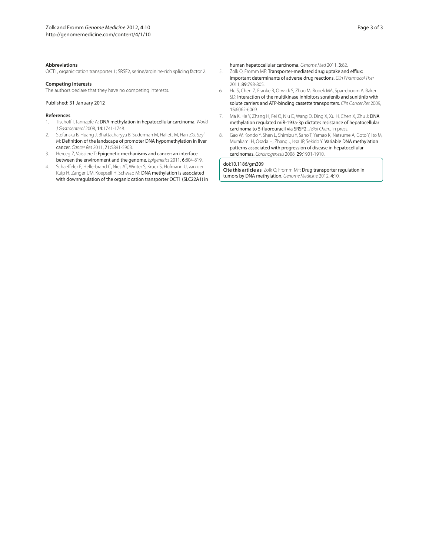#### **Abbreviations**

OCT1, organic cation transporter 1; SRSF2, serine/arginine-rich splicing factor 2.

#### **Competing interests**

The authors declare that they have no competing interests.

#### Published: 31 January 2012

#### **References**

- 1. Tischoff I, Tannapfe A: DNA methylation in hepatocellular carcinoma. *World J Gastroenterol* 2008, 14:1741-1748.
- 2. Stefanska B, Huang J, Bhattacharyya B, Suderman M, Hallett M, Han ZG, Szyf M: Definition of the landscape of promoter DNA hypomethylation in liver cancer. *Cancer Res* 2011, 71:5891-5903.
- 3. Herceg Z, Vaissiere T: Epigenetic mechanisms and cancer: an interface between the environment and the genome. *Epigenetics* 2011, 6:804-819.
- 4. Schaeffeler E, Hellerbrand C, Nies AT, Winter S, Kruck S, Hofmann U, van der Kuip H, Zanger UM, Koepsell H, Schwab M: DNA methylation is associated with downregulation of the organic cation transporter OCT1 (SLC22A1) in

human hepatocellular carcinoma. *Genome Med* 2011, 3:82.

- 5. Zolk O, Fromm MF: Transporter-mediated drug uptake and efflux: important determinants of adverse drug reactions. *Clin Pharmacol Ther*  2011, 89:798-805.
- 6. Hu S, Chen Z, Franke R, Orwick S, Zhao M, Rudek MA, Sparreboom A, Baker SD: Interaction of the multikinase inhibitors sorafenib and sunitinib with solute carriers and ATP-binding cassette transporters. *Clin Cancer Res* 2009, 15:6062-6069.
- 7. Ma K, He Y, Zhang H, Fei Q, Niu D, Wang D, Ding X, Xu H, Chen X, Zhu J: DNA methylation regulated miR-193a-3p dictates resistance of hepatocellular carcinoma to 5-fluorouracil via SRSF2. *J Biol Chem*, in press.
- 8. Gao W, Kondo Y, Shen L, Shimizu Y, Sano T, Yamao K, Natsume A, Goto Y, Ito M, Murakami H, Osada H, Zhang J, Issa JP, Sekido Y: Variable DNA methylation patterns associated with progression of disease in hepatocellular carcinomas. *Carcinogenesis* 2008, 29:1901-1910.

#### doi:10.1186/gm309

**Cite this article as**: Zolk O, Fromm MF: Drug transporter regulation in tumors by DNA methylation. *Genome Medicine* 2012, 4:10.